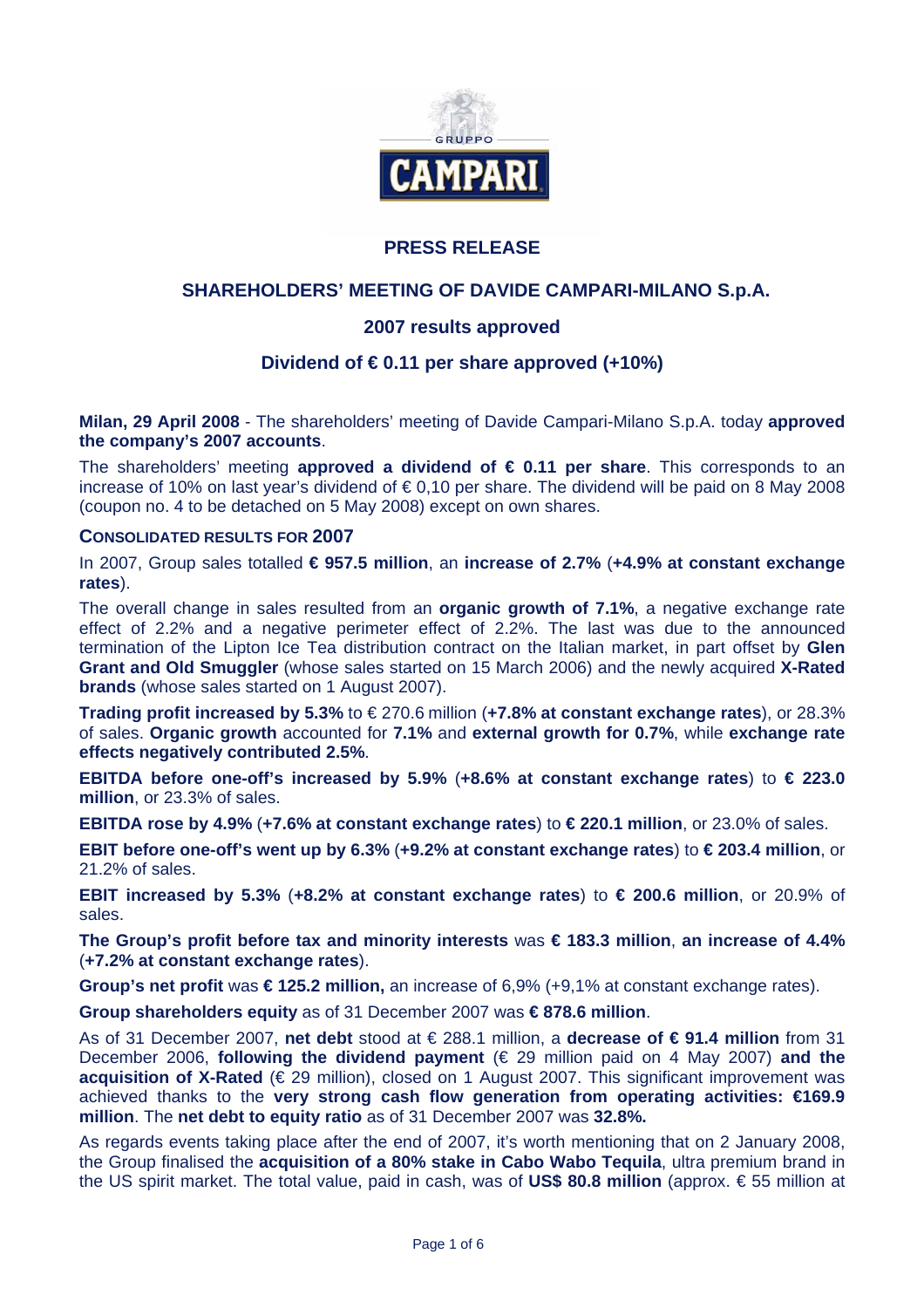

# **PRESS RELEASE**

## **SHAREHOLDERS' MEETING OF DAVIDE CAMPARI-MILANO S.p.A.**

## **2007 results approved**

## **Dividend of € 0.11 per share approved (+10%)**

**Milan, 29 April 2008** - The shareholders' meeting of Davide Campari-Milano S.p.A. today **approved the company's 2007 accounts**.

The shareholders' meeting **approved a dividend of € 0.11 per share**. This corresponds to an increase of 10% on last year's dividend of € 0,10 per share. The dividend will be paid on 8 May 2008 (coupon no. 4 to be detached on 5 May 2008) except on own shares.

#### **CONSOLIDATED RESULTS FOR 2007**

In 2007, Group sales totalled **€ 957.5 million**, an **increase of 2.7%** (**+4.9% at constant exchange rates**).

The overall change in sales resulted from an **organic growth of 7.1%**, a negative exchange rate effect of 2.2% and a negative perimeter effect of 2.2%. The last was due to the announced termination of the Lipton Ice Tea distribution contract on the Italian market, in part offset by **Glen Grant and Old Smuggler** (whose sales started on 15 March 2006) and the newly acquired **X-Rated brands** (whose sales started on 1 August 2007).

**Trading profit increased by 5.3%** to € 270.6 million (**+7.8% at constant exchange rates**), or 28.3% of sales. **Organic growth** accounted for **7.1%** and **external growth for 0.7%**, while **exchange rate effects negatively contributed 2.5%**.

**EBITDA before one-off's increased by 5.9%** (**+8.6% at constant exchange rates**) to **€ 223.0 million**, or 23.3% of sales.

**EBITDA rose by 4.9%** (**+7.6% at constant exchange rates**) to **€ 220.1 million**, or 23.0% of sales.

**EBIT before one-off's went up by 6.3%** (**+9.2% at constant exchange rates**) to **€ 203.4 million**, or 21.2% of sales.

**EBIT increased by 5.3%** (**+8.2% at constant exchange rates**) to **€ 200.6 million**, or 20.9% of sales.

**The Group's profit before tax and minority interests** was **€ 183.3 million**, **an increase of 4.4%** (**+7.2% at constant exchange rates**).

**Group's net profit** was **€ 125.2 million,** an increase of 6,9% (+9,1% at constant exchange rates).

**Group shareholders equity** as of 31 December 2007 was **€ 878.6 million**.

As of 31 December 2007, **net debt** stood at € 288.1 million, a **decrease of € 91.4 million** from 31 December 2006, **following the dividend payment** (€ 29 million paid on 4 May 2007) **and the acquisition of X-Rated** (€ 29 million), closed on 1 August 2007. This significant improvement was achieved thanks to the **very strong cash flow generation from operating activities: €169.9 million**. The **net debt to equity ratio** as of 31 December 2007 was **32.8%.**

As regards events taking place after the end of 2007, it's worth mentioning that on 2 January 2008, the Group finalised the **acquisition of a 80% stake in Cabo Wabo Tequila**, ultra premium brand in the US spirit market. The total value, paid in cash, was of **US\$ 80.8 million** (approx. € 55 million at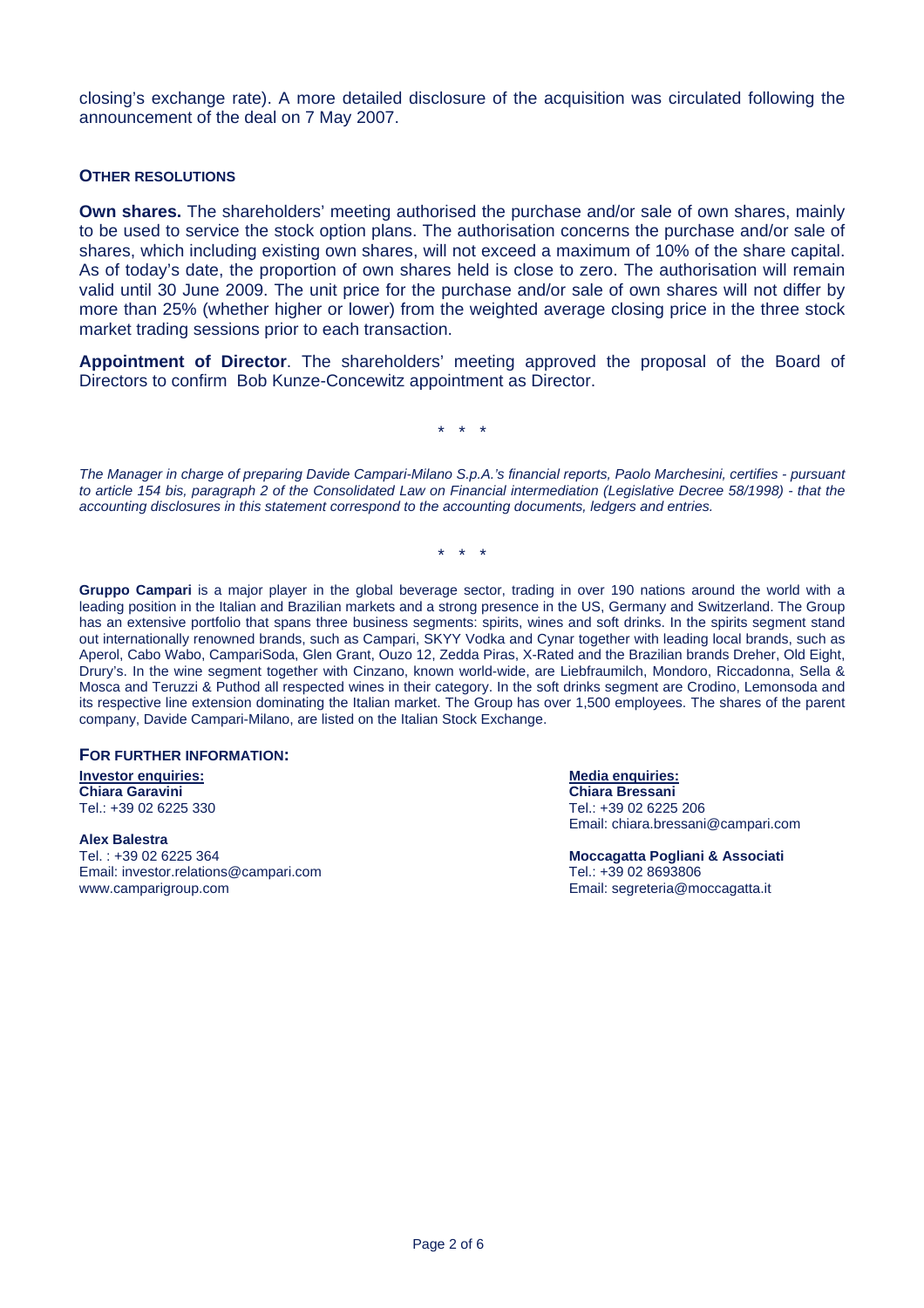closing's exchange rate). A more detailed disclosure of the acquisition was circulated following the announcement of the deal on 7 May 2007.

#### **OTHER RESOLUTIONS**

**Own shares.** The shareholders' meeting authorised the purchase and/or sale of own shares, mainly to be used to service the stock option plans. The authorisation concerns the purchase and/or sale of shares, which including existing own shares, will not exceed a maximum of 10% of the share capital. As of today's date, the proportion of own shares held is close to zero. The authorisation will remain valid until 30 June 2009. The unit price for the purchase and/or sale of own shares will not differ by more than 25% (whether higher or lower) from the weighted average closing price in the three stock market trading sessions prior to each transaction.

**Appointment of Director**. The shareholders' meeting approved the proposal of the Board of Directors to confirm Bob Kunze-Concewitz appointment as Director.

\* \* \*

*The Manager in charge of preparing Davide Campari-Milano S.p.A.'s financial reports, Paolo Marchesini, certifies - pursuant to article 154 bis, paragraph 2 of the Consolidated Law on Financial intermediation (Legislative Decree 58/1998) - that the accounting disclosures in this statement correspond to the accounting documents, ledgers and entries.* 

\* \* \*

**Gruppo Campari** is a major player in the global beverage sector, trading in over 190 nations around the world with a leading position in the Italian and Brazilian markets and a strong presence in the US, Germany and Switzerland. The Group has an extensive portfolio that spans three business segments: spirits, wines and soft drinks. In the spirits segment stand out internationally renowned brands, such as Campari, SKYY Vodka and Cynar together with leading local brands, such as Aperol, Cabo Wabo, CampariSoda, Glen Grant, Ouzo 12, Zedda Piras, X-Rated and the Brazilian brands Dreher, Old Eight, Drury's. In the wine segment together with Cinzano, known world-wide, are Liebfraumilch, Mondoro, Riccadonna, Sella & Mosca and Teruzzi & Puthod all respected wines in their category. In the soft drinks segment are Crodino, Lemonsoda and its respective line extension dominating the Italian market. The Group has over 1,500 employees. The shares of the parent company, Davide Campari-Milano, are listed on the Italian Stock Exchange.

#### **FOR FURTHER INFORMATION:**

**Investor enquiries:** Media enquiries: Media enquiries: Media enquiries: Media enquiries: Media enquiries: Media enquiries: Media enquiries: Media enquiries: Media enquiries: Media enquiries: Media enquiries: Media enquiri **Chiara Garavini Chiara Garavini Chiara Bressani Chiara Bressani Chiara Bressani Chiara Bressani** Tel.: +39 02 6225

#### **Alex Balestra**

Email: investor.relations@campari.com Tel.: +39 02 8693806 www.camparigroup.com example and the example of the example of the example of the example of the example of the example of the example of the example of the example of the example of the example of the example of the examp

Tel.: +39 02 6225 206 Email: chiara.bressani@campari.com

Tel. : +39 02 6225 364 **Moccagatta Pogliani & Associati**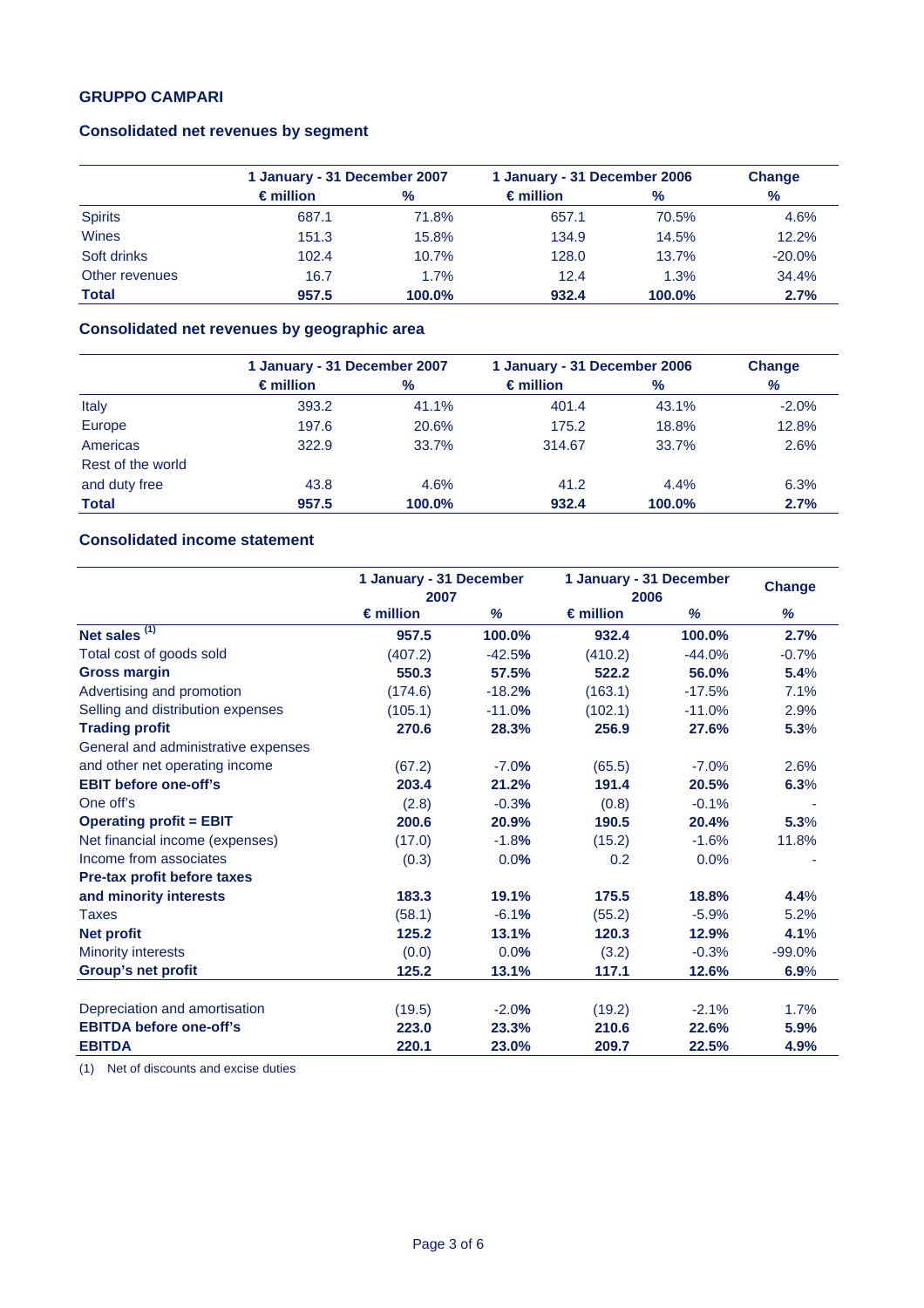## **GRUPPO CAMPARI**

## **Consolidated net revenues by segment**

|                | 1 January - 31 December 2007 |        | 1 January - 31 December 2006 |        | Change        |
|----------------|------------------------------|--------|------------------------------|--------|---------------|
|                | $\epsilon$ million           | %      | $\epsilon$ million           | $\%$   | $\frac{9}{6}$ |
| <b>Spirits</b> | 687.1                        | 71.8%  | 657.1                        | 70.5%  | 4.6%          |
| Wines          | 151.3                        | 15.8%  | 134.9                        | 14.5%  | 12.2%         |
| Soft drinks    | 102.4                        | 10.7%  | 128.0                        | 13.7%  | $-20.0%$      |
| Other revenues | 16.7                         | 1.7%   | 12.4                         | 1.3%   | 34.4%         |
| <b>Total</b>   | 957.5                        | 100.0% | 932.4                        | 100.0% | 2.7%          |

# **Consolidated net revenues by geographic area**

|                   | 1 January - 31 December 2007 |        | 1 January - 31 December 2006 |               | Change  |  |
|-------------------|------------------------------|--------|------------------------------|---------------|---------|--|
|                   | $\epsilon$ million           | %      | $\epsilon$ million           | $\frac{9}{6}$ | %       |  |
| Italy             | 393.2                        | 41.1%  | 401.4                        | 43.1%         | $-2.0%$ |  |
| Europe            | 197.6                        | 20.6%  | 175.2                        | 18.8%         | 12.8%   |  |
| Americas          | 322.9                        | 33.7%  | 314.67                       | 33.7%         | 2.6%    |  |
| Rest of the world |                              |        |                              |               |         |  |
| and duty free     | 43.8                         | 4.6%   | 41.2                         | 4.4%          | 6.3%    |  |
| <b>Total</b>      | 957.5                        | 100.0% | 932.4                        | 100.0%        | 2.7%    |  |

# **Consolidated income statement**

|                                     | 1 January - 31 December<br>2007 |          | 1 January - 31 December<br>2006 |          | <b>Change</b> |
|-------------------------------------|---------------------------------|----------|---------------------------------|----------|---------------|
|                                     | $\epsilon$ million              | %        | $\epsilon$ million              | %        | %             |
| Net sales $(1)$                     | 957.5                           | 100.0%   | 932.4                           | 100.0%   | 2.7%          |
| Total cost of goods sold            | (407.2)                         | $-42.5%$ | (410.2)                         | $-44.0%$ | $-0.7%$       |
| <b>Gross margin</b>                 | 550.3                           | 57.5%    | 522.2                           | 56.0%    | 5.4%          |
| Advertising and promotion           | (174.6)                         | $-18.2%$ | (163.1)                         | $-17.5%$ | 7.1%          |
| Selling and distribution expenses   | (105.1)                         | $-11.0%$ | (102.1)                         | $-11.0%$ | 2.9%          |
| <b>Trading profit</b>               | 270.6                           | 28.3%    | 256.9                           | 27.6%    | 5.3%          |
| General and administrative expenses |                                 |          |                                 |          |               |
| and other net operating income      | (67.2)                          | $-7.0%$  | (65.5)                          | $-7.0%$  | 2.6%          |
| <b>EBIT before one-off's</b>        | 203.4                           | 21.2%    | 191.4                           | 20.5%    | 6.3%          |
| One off's                           | (2.8)                           | $-0.3%$  | (0.8)                           | $-0.1%$  |               |
| <b>Operating profit = EBIT</b>      | 200.6                           | 20.9%    | 190.5                           | 20.4%    | 5.3%          |
| Net financial income (expenses)     | (17.0)                          | $-1.8%$  | (15.2)                          | $-1.6%$  | 11.8%         |
| Income from associates              | (0.3)                           | 0.0%     | 0.2                             | 0.0%     |               |
| Pre-tax profit before taxes         |                                 |          |                                 |          |               |
| and minority interests              | 183.3                           | 19.1%    | 175.5                           | 18.8%    | 4.4%          |
| Taxes                               | (58.1)                          | $-6.1%$  | (55.2)                          | $-5.9%$  | 5.2%          |
| <b>Net profit</b>                   | 125.2                           | 13.1%    | 120.3                           | 12.9%    | 4.1%          |
| <b>Minority interests</b>           | (0.0)                           | 0.0%     | (3.2)                           | $-0.3%$  | $-99.0%$      |
| Group's net profit                  | 125.2                           | 13.1%    | 117.1                           | 12.6%    | 6.9%          |
| Depreciation and amortisation       | (19.5)                          | $-2.0%$  | (19.2)                          | $-2.1%$  | 1.7%          |
| <b>EBITDA before one-off's</b>      | 223.0                           | 23.3%    | 210.6                           | 22.6%    | 5.9%          |
| <b>EBITDA</b>                       | 220.1                           | 23.0%    | 209.7                           | 22.5%    | 4.9%          |

(1) Net of discounts and excise duties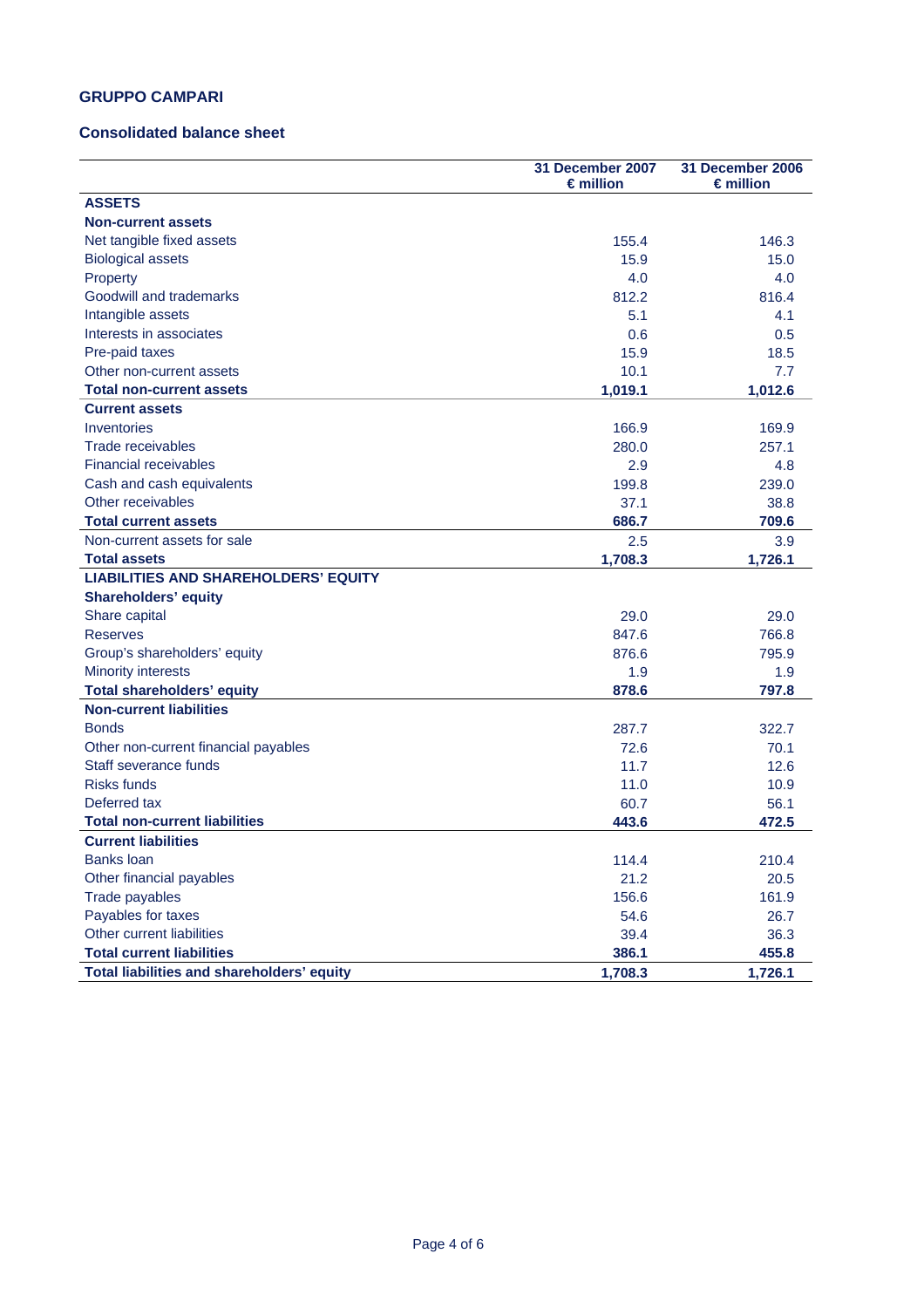## **GRUPPO CAMPARI**

#### **Consolidated balance sheet**

|                                             | 31 December 2007<br>€million | 31 December 2006<br>$\epsilon$ million |
|---------------------------------------------|------------------------------|----------------------------------------|
| <b>ASSETS</b>                               |                              |                                        |
| <b>Non-current assets</b>                   |                              |                                        |
| Net tangible fixed assets                   | 155.4                        | 146.3                                  |
| <b>Biological assets</b>                    | 15.9                         | 15.0                                   |
| Property                                    | 4.0                          | 4.0                                    |
| Goodwill and trademarks                     | 812.2                        | 816.4                                  |
| Intangible assets                           | 5.1                          | 4.1                                    |
| Interests in associates                     | 0.6                          | 0.5                                    |
| Pre-paid taxes                              | 15.9                         | 18.5                                   |
| Other non-current assets                    | 10.1                         | 7.7                                    |
| <b>Total non-current assets</b>             | 1,019.1                      | 1,012.6                                |
| <b>Current assets</b>                       |                              |                                        |
| Inventories                                 | 166.9                        | 169.9                                  |
| Trade receivables                           | 280.0                        | 257.1                                  |
| <b>Financial receivables</b>                | 2.9                          | 4.8                                    |
| Cash and cash equivalents                   | 199.8                        | 239.0                                  |
| Other receivables                           | 37.1                         | 38.8                                   |
| <b>Total current assets</b>                 | 686.7                        | 709.6                                  |
| Non-current assets for sale                 | 2.5                          | 3.9                                    |
| <b>Total assets</b>                         | 1,708.3                      | 1,726.1                                |
| <b>LIABILITIES AND SHAREHOLDERS' EQUITY</b> |                              |                                        |
| <b>Shareholders' equity</b>                 |                              |                                        |
| Share capital                               | 29.0                         | 29.0                                   |
| <b>Reserves</b>                             | 847.6                        | 766.8                                  |
| Group's shareholders' equity                | 876.6                        | 795.9                                  |
| <b>Minority interests</b>                   | 1.9                          | 1.9                                    |
| <b>Total shareholders' equity</b>           | 878.6                        | 797.8                                  |
| <b>Non-current liabilities</b>              |                              |                                        |
| <b>Bonds</b>                                | 287.7                        | 322.7                                  |
| Other non-current financial payables        | 72.6                         | 70.1                                   |
| Staff severance funds                       | 11.7                         | 12.6                                   |
| <b>Risks funds</b>                          | 11.0                         | 10.9                                   |
| Deferred tax                                | 60.7                         | 56.1                                   |
| <b>Total non-current liabilities</b>        | 443.6                        | 472.5                                  |
| <b>Current liabilities</b>                  |                              |                                        |
| <b>Banks loan</b>                           | 114.4                        | 210.4                                  |
| Other financial payables                    | 21.2                         | 20.5                                   |
| Trade payables                              | 156.6                        | 161.9                                  |
| Payables for taxes                          | 54.6                         | 26.7                                   |
| Other current liabilities                   | 39.4                         | 36.3                                   |
| <b>Total current liabilities</b>            | 386.1                        | 455.8                                  |
| Total liabilities and shareholders' equity  | 1,708.3                      | 1,726.1                                |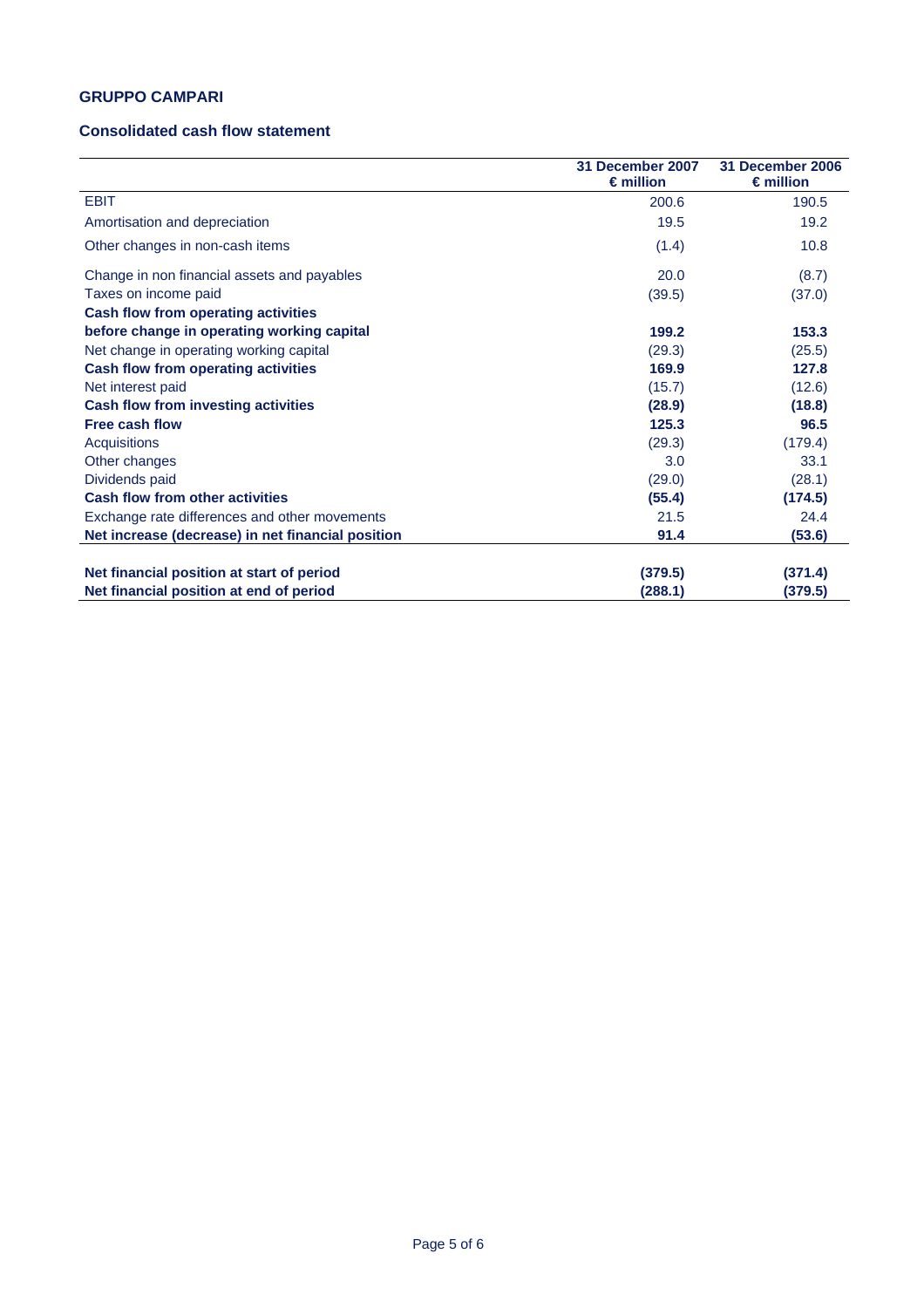## **GRUPPO CAMPARI**

### **Consolidated cash flow statement**

|                                                   | 31 December 2007<br>$\epsilon$ million | 31 December 2006<br>$\epsilon$ million |
|---------------------------------------------------|----------------------------------------|----------------------------------------|
| <b>EBIT</b>                                       | 200.6                                  | 190.5                                  |
| Amortisation and depreciation                     | 19.5                                   | 19.2                                   |
| Other changes in non-cash items                   | (1.4)                                  | 10.8                                   |
| Change in non financial assets and payables       | 20.0                                   | (8.7)                                  |
| Taxes on income paid                              | (39.5)                                 | (37.0)                                 |
| <b>Cash flow from operating activities</b>        |                                        |                                        |
| before change in operating working capital        | 199.2                                  | 153.3                                  |
| Net change in operating working capital           | (29.3)                                 | (25.5)                                 |
| <b>Cash flow from operating activities</b>        | 169.9                                  | 127.8                                  |
| Net interest paid                                 | (15.7)                                 | (12.6)                                 |
| Cash flow from investing activities               | (28.9)                                 | (18.8)                                 |
| <b>Free cash flow</b>                             | 125.3                                  | 96.5                                   |
| Acquisitions                                      | (29.3)                                 | (179.4)                                |
| Other changes                                     | 3.0                                    | 33.1                                   |
| Dividends paid                                    | (29.0)                                 | (28.1)                                 |
| <b>Cash flow from other activities</b>            | (55.4)                                 | (174.5)                                |
| Exchange rate differences and other movements     | 21.5                                   | 24.4                                   |
| Net increase (decrease) in net financial position | 91.4                                   | (53.6)                                 |
|                                                   |                                        |                                        |
| Net financial position at start of period         | (379.5)                                | (371.4)                                |
| Net financial position at end of period           | (288.1)                                | (379.5)                                |